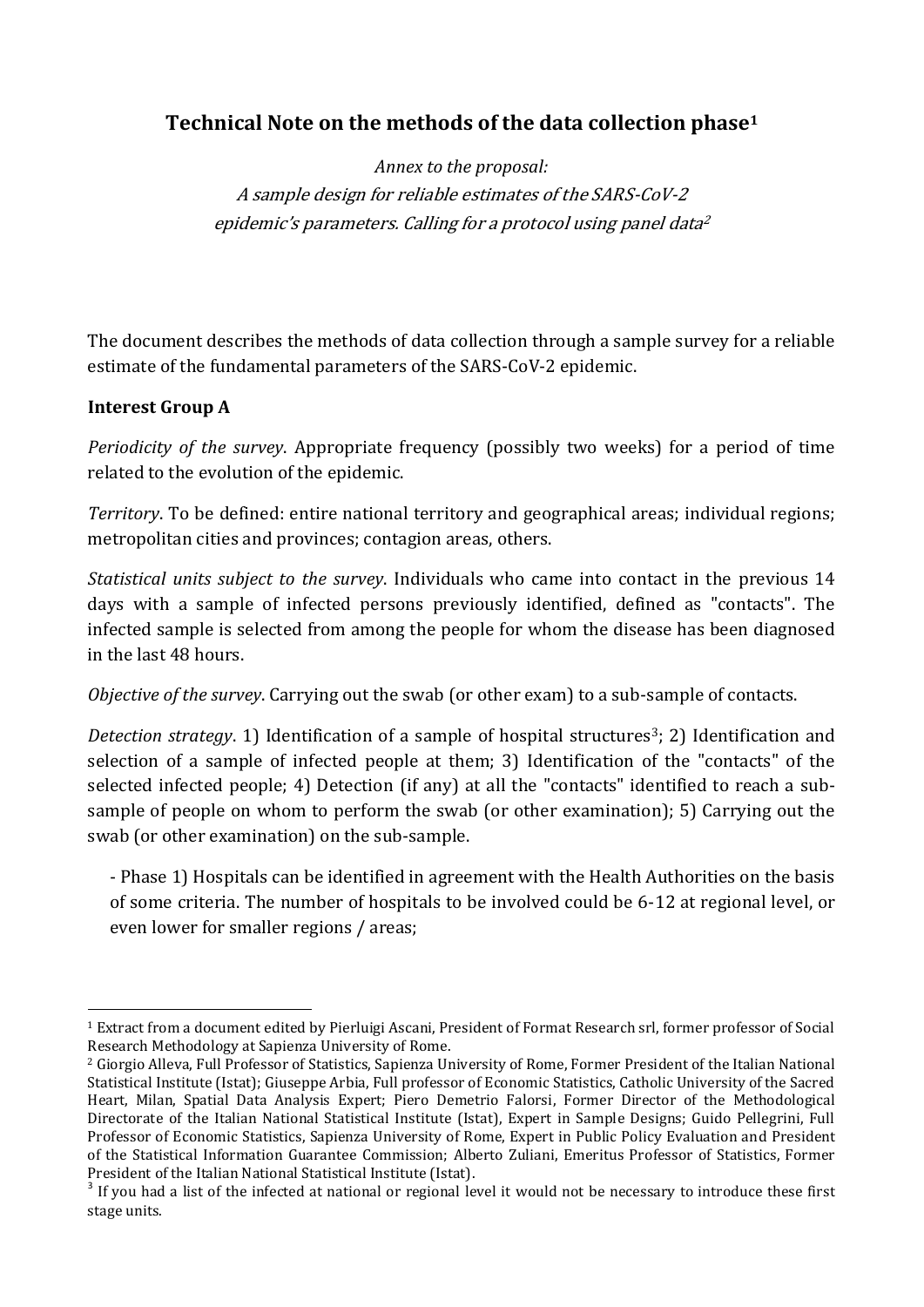# **Technical Note on the methods of the data collection phase<sup>1</sup>**

*Annex to the proposal:*  A sample design for reliable estimates of the SARS-CoV-2 epidemic's parameters. Calling for a protocol using panel data 2

The document describes the methods of data collection through a sample survey for a reliable estimate of the fundamental parameters of the SARS-CoV-2 epidemic.

## **Interest Group A**

**.** 

*Periodicity of the survey*. Appropriate frequency (possibly two weeks) for a period of time related to the evolution of the epidemic.

*Territory*. To be defined: entire national territory and geographical areas; individual regions; metropolitan cities and provinces; contagion areas, others.

*Statistical units subject to the survey*. Individuals who came into contact in the previous 14 days with a sample of infected persons previously identified, defined as "contacts". The infected sample is selected from among the people for whom the disease has been diagnosed in the last 48 hours.

*Objective of the survey*. Carrying out the swab (or other exam) to a sub-sample of contacts.

*Detection strategy*. 1) Identification of a sample of hospital structures<sup>3</sup>; 2) Identification and selection of a sample of infected people at them; 3) Identification of the "contacts" of the selected infected people; 4) Detection (if any) at all the "contacts" identified to reach a subsample of people on whom to perform the swab (or other examination); 5) Carrying out the swab (or other examination) on the sub-sample.

- Phase 1) Hospitals can be identified in agreement with the Health Authorities on the basis of some criteria. The number of hospitals to be involved could be 6-12 at regional level, or even lower for smaller regions / areas;

<sup>1</sup> Extract from a document edited by Pierluigi Ascani, President of Format Research srl, former professor of Social Research Methodology at Sapienza University of Rome.

<sup>2</sup> Giorgio Alleva, Full Professor of Statistics, Sapienza University of Rome, Former President of the Italian National Statistical Institute (Istat); Giuseppe Arbia, Full professor of Economic Statistics, Catholic University of the Sacred Heart, Milan, Spatial Data Analysis Expert; Piero Demetrio Falorsi, Former Director of the Methodological Directorate of the Italian National Statistical Institute (Istat), Expert in Sample Designs; Guido Pellegrini, Full Professor of Economic Statistics, Sapienza University of Rome, Expert in Public Policy Evaluation and President of the Statistical Information Guarantee Commission; Alberto Zuliani, Emeritus Professor of Statistics, Former President of the Italian National Statistical Institute (Istat).

<sup>&</sup>lt;sup>3</sup> If you had a list of the infected at national or regional level it would not be necessary to introduce these first stage units.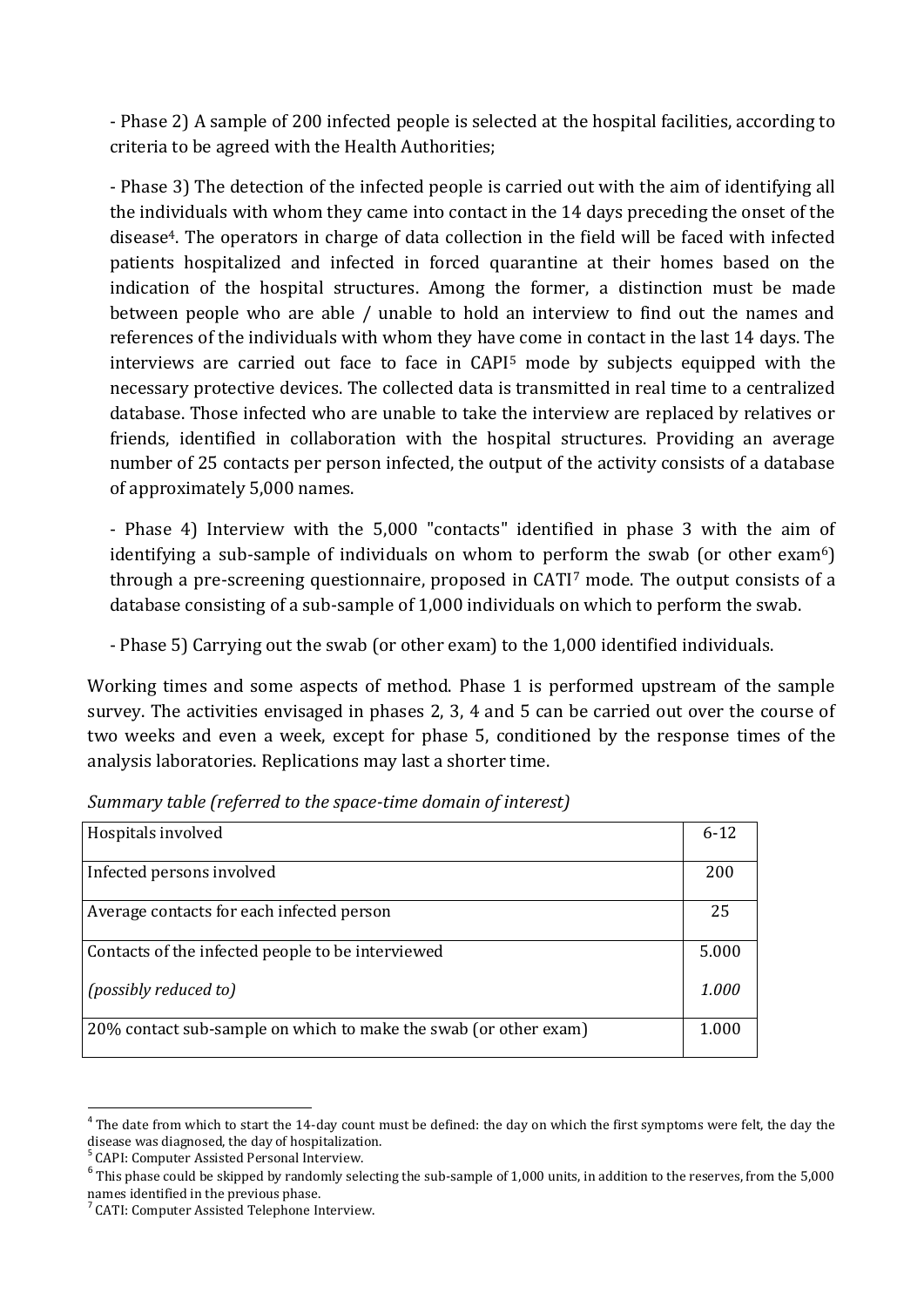- Phase 2) A sample of 200 infected people is selected at the hospital facilities, according to criteria to be agreed with the Health Authorities;

- Phase 3) The detection of the infected people is carried out with the aim of identifying all the individuals with whom they came into contact in the 14 days preceding the onset of the disease4. The operators in charge of data collection in the field will be faced with infected patients hospitalized and infected in forced quarantine at their homes based on the indication of the hospital structures. Among the former, a distinction must be made between people who are able / unable to hold an interview to find out the names and references of the individuals with whom they have come in contact in the last 14 days. The interviews are carried out face to face in CAPI<sup>5</sup> mode by subjects equipped with the necessary protective devices. The collected data is transmitted in real time to a centralized database. Those infected who are unable to take the interview are replaced by relatives or friends, identified in collaboration with the hospital structures. Providing an average number of 25 contacts per person infected, the output of the activity consists of a database of approximately 5,000 names.

- Phase 4) Interview with the 5,000 "contacts" identified in phase 3 with the aim of identifying a sub-sample of individuals on whom to perform the swab (or other exam<sup>6</sup>) through a pre-screening questionnaire, proposed in CATI<sup>7</sup> mode. The output consists of a database consisting of a sub-sample of 1,000 individuals on which to perform the swab.

- Phase 5) Carrying out the swab (or other exam) to the 1,000 identified individuals.

Working times and some aspects of method. Phase 1 is performed upstream of the sample survey. The activities envisaged in phases 2, 3, 4 and 5 can be carried out over the course of two weeks and even a week, except for phase 5, conditioned by the response times of the analysis laboratories. Replications may last a shorter time.

| Hospitals involved                                               | $6 - 12$ |
|------------------------------------------------------------------|----------|
| Infected persons involved                                        | 200      |
| Average contacts for each infected person                        | 25       |
| Contacts of the infected people to be interviewed                | 5.000    |
| <i>(possibly reduced to)</i>                                     | 1.000    |
| 20% contact sub-sample on which to make the swab (or other exam) | 1.000    |

*Summary table (referred to the space-time domain of interest)*

5 CAPI: Computer Assisted Personal Interview.

<sup>1</sup>  $4$  The date from which to start the 14-day count must be defined: the day on which the first symptoms were felt, the day the disease was diagnosed, the day of hospitalization.

<sup>&</sup>lt;sup>6</sup> This phase could be skipped by randomly selecting the sub-sample of 1,000 units, in addition to the reserves, from the 5,000 names identified in the previous phase.

<sup>7</sup> CATI: Computer Assisted Telephone Interview.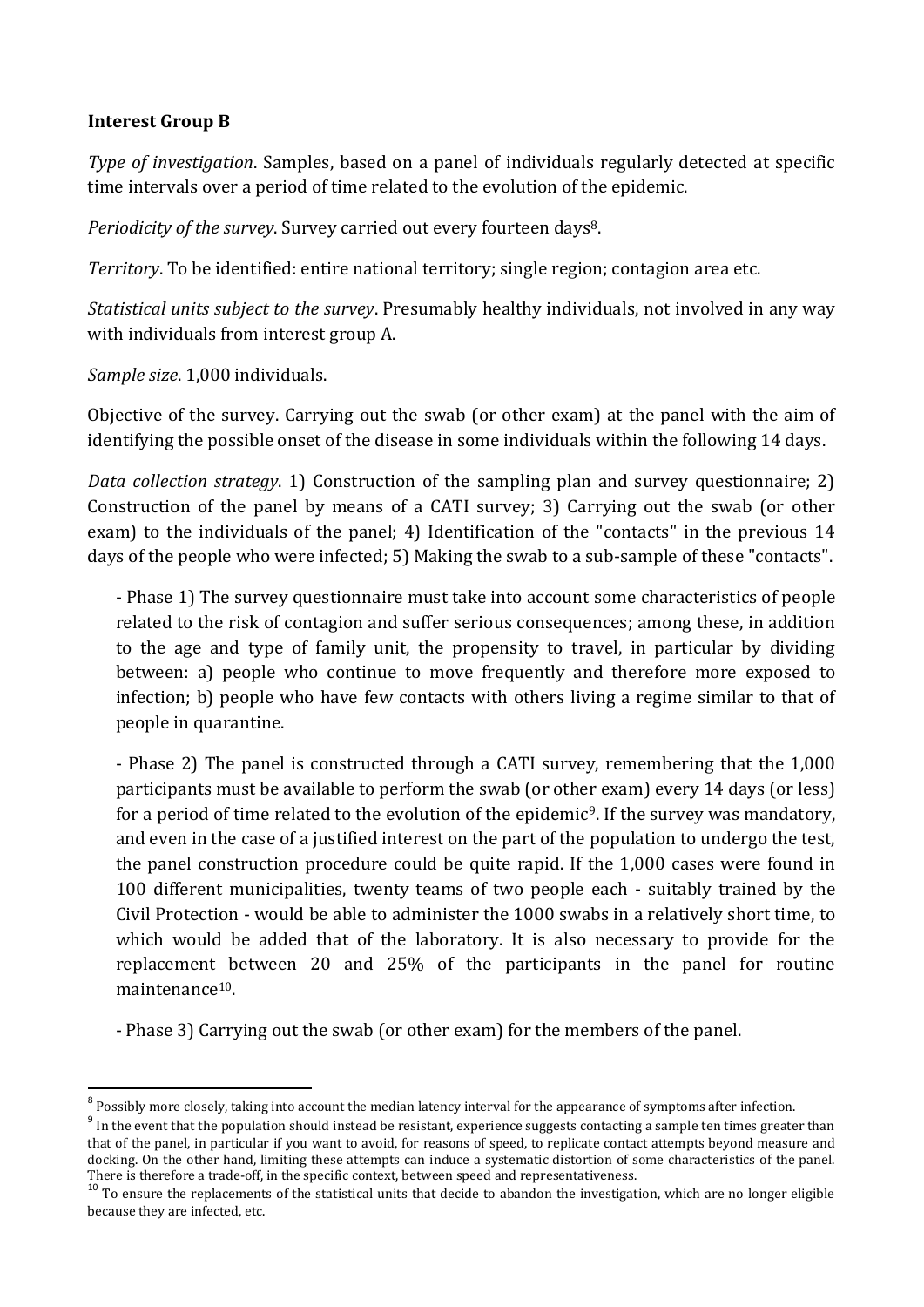#### **Interest Group B**

*Type of investigation*. Samples, based on a panel of individuals regularly detected at specific time intervals over a period of time related to the evolution of the epidemic.

*Periodicity of the survey*. Survey carried out every fourteen days8.

*Territory*. To be identified: entire national territory; single region; contagion area etc.

*Statistical units subject to the survey*. Presumably healthy individuals, not involved in any way with individuals from interest group A.

*Sample size*. 1,000 individuals.

Objective of the survey. Carrying out the swab (or other exam) at the panel with the aim of identifying the possible onset of the disease in some individuals within the following 14 days.

*Data collection strategy*. 1) Construction of the sampling plan and survey questionnaire; 2) Construction of the panel by means of a CATI survey; 3) Carrying out the swab (or other exam) to the individuals of the panel; 4) Identification of the "contacts" in the previous 14 days of the people who were infected; 5) Making the swab to a sub-sample of these "contacts".

- Phase 1) The survey questionnaire must take into account some characteristics of people related to the risk of contagion and suffer serious consequences; among these, in addition to the age and type of family unit, the propensity to travel, in particular by dividing between: a) people who continue to move frequently and therefore more exposed to infection; b) people who have few contacts with others living a regime similar to that of people in quarantine.

- Phase 2) The panel is constructed through a CATI survey, remembering that the 1,000 participants must be available to perform the swab (or other exam) every 14 days (or less) for a period of time related to the evolution of the epidemic9. If the survey was mandatory, and even in the case of a justified interest on the part of the population to undergo the test, the panel construction procedure could be quite rapid. If the 1,000 cases were found in 100 different municipalities, twenty teams of two people each - suitably trained by the Civil Protection - would be able to administer the 1000 swabs in a relatively short time, to which would be added that of the laboratory. It is also necessary to provide for the replacement between 20 and 25% of the participants in the panel for routine maintenance10.

- Phase 3) Carrying out the swab (or other exam) for the members of the panel.

 8 Possibly more closely, taking into account the median latency interval for the appearance of symptoms after infection.

 $9$  In the event that the population should instead be resistant, experience suggests contacting a sample ten times greater than that of the panel, in particular if you want to avoid, for reasons of speed, to replicate contact attempts beyond measure and docking. On the other hand, limiting these attempts can induce a systematic distortion of some characteristics of the panel. There is therefore a trade-off, in the specific context, between speed and representativeness.

 $10$  To ensure the replacements of the statistical units that decide to abandon the investigation, which are no longer eligible because they are infected, etc.